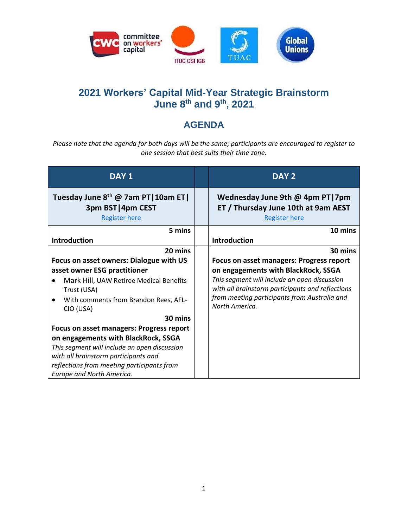

## **2021 Workers' Capital Mid-Year Strategic Brainstorm June 8th and 9th, 2021**

## **AGENDA**

*Please note that the agenda for both days will be the same; participants are encouraged to register to one session that best suits their time zone.*

| DAY <sub>1</sub>                                                                                                                                                                                                                                          | DAY <sub>2</sub>                                                                                                                                                                                                                                             |
|-----------------------------------------------------------------------------------------------------------------------------------------------------------------------------------------------------------------------------------------------------------|--------------------------------------------------------------------------------------------------------------------------------------------------------------------------------------------------------------------------------------------------------------|
| Tuesday June 8 <sup>th</sup> @ 7am PT   10am ET  <br>3pm BST   4pm CEST<br><b>Register here</b>                                                                                                                                                           | Wednesday June 9th @ 4pm PT 7pm<br>ET / Thursday June 10th at 9am AEST<br><b>Register here</b>                                                                                                                                                               |
| 5 mins                                                                                                                                                                                                                                                    | 10 mins                                                                                                                                                                                                                                                      |
| Introduction                                                                                                                                                                                                                                              | Introduction                                                                                                                                                                                                                                                 |
| 20 mins                                                                                                                                                                                                                                                   | 30 mins                                                                                                                                                                                                                                                      |
| Focus on asset owners: Dialogue with US<br>asset owner ESG practitioner<br>Mark Hill, UAW Retiree Medical Benefits<br>Trust (USA)<br>With comments from Brandon Rees, AFL-<br>CIO (USA)                                                                   | <b>Focus on asset managers: Progress report</b><br>on engagements with BlackRock, SSGA<br>This segment will include an open discussion<br>with all brainstorm participants and reflections<br>from meeting participants from Australia and<br>North America. |
| 30 mins                                                                                                                                                                                                                                                   |                                                                                                                                                                                                                                                              |
| <b>Focus on asset managers: Progress report</b><br>on engagements with BlackRock, SSGA<br>This segment will include an open discussion<br>with all brainstorm participants and<br>reflections from meeting participants from<br>Europe and North America. |                                                                                                                                                                                                                                                              |